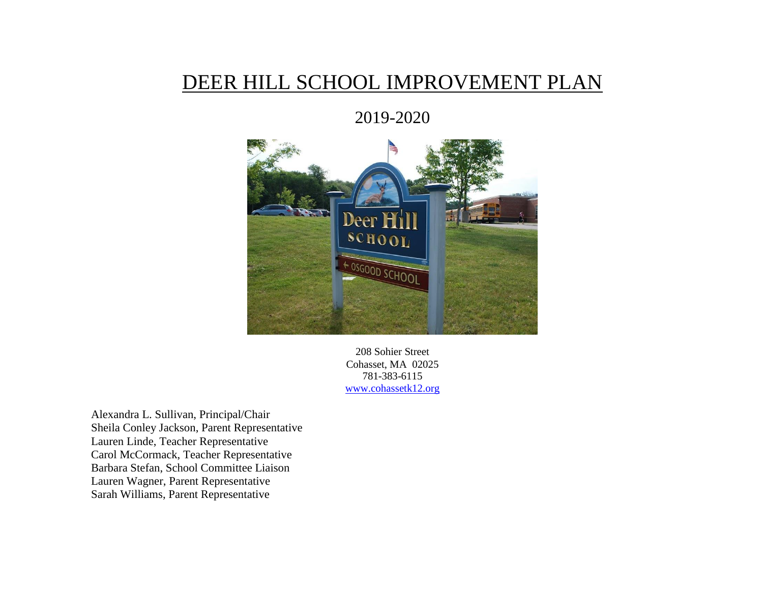# DEER HILL SCHOOL IMPROVEMENT PLAN

2019-2020



208 Sohier Street Cohasset, MA 02025 781-383-6115 [www.cohassetk12.org](http://www.cohassetk12.org/)

Alexandra L. Sullivan, Principal/Chair Sheila Conley Jackson, Parent Representative Lauren Linde, Teacher Representative Carol McCormack, Teacher Representative Barbara Stefan, School Committee Liaison Lauren Wagner, Parent Representative Sarah Williams, Parent Representative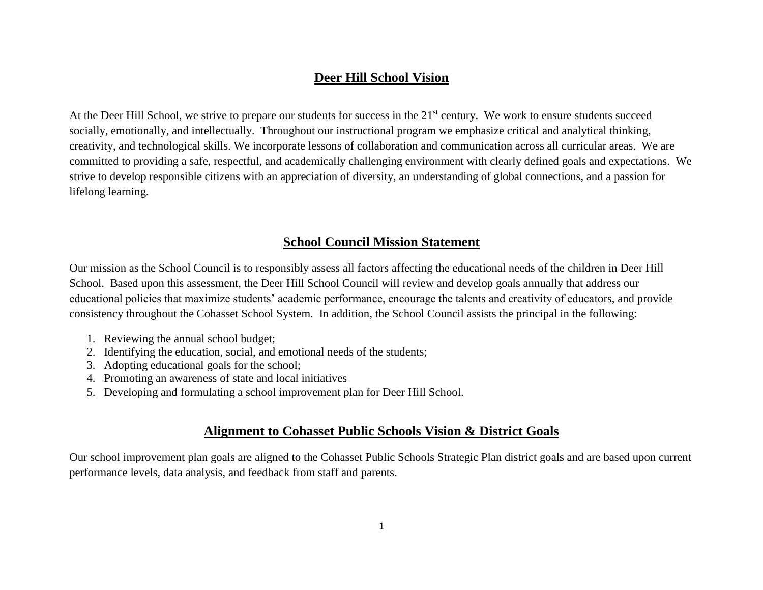## **Deer Hill School Vision**

At the Deer Hill School, we strive to prepare our students for success in the 21<sup>st</sup> century. We work to ensure students succeed socially, emotionally, and intellectually. Throughout our instructional program we emphasize critical and analytical thinking, creativity, and technological skills. We incorporate lessons of collaboration and communication across all curricular areas. We are committed to providing a safe, respectful, and academically challenging environment with clearly defined goals and expectations. We strive to develop responsible citizens with an appreciation of diversity, an understanding of global connections, and a passion for lifelong learning.

### **School Council Mission Statement**

Our mission as the School Council is to responsibly assess all factors affecting the educational needs of the children in Deer Hill School. Based upon this assessment, the Deer Hill School Council will review and develop goals annually that address our educational policies that maximize students' academic performance, encourage the talents and creativity of educators, and provide consistency throughout the Cohasset School System. In addition, the School Council assists the principal in the following:

- 1. Reviewing the annual school budget;
- 2. Identifying the education, social, and emotional needs of the students;
- 3. Adopting educational goals for the school;
- 4. Promoting an awareness of state and local initiatives
- 5. Developing and formulating a school improvement plan for Deer Hill School.

# **Alignment to Cohasset Public Schools Vision & District Goals**

Our school improvement plan goals are aligned to the Cohasset Public Schools Strategic Plan district goals and are based upon current performance levels, data analysis, and feedback from staff and parents.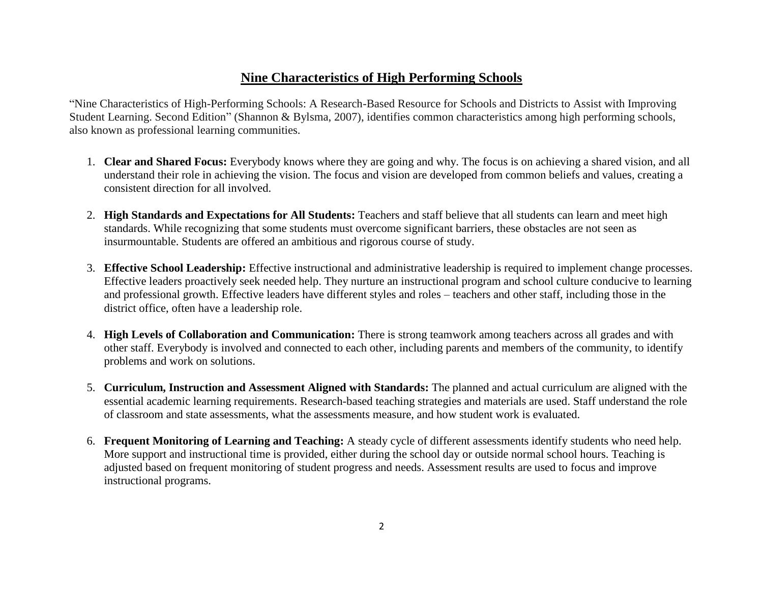## **Nine Characteristics of High Performing Schools**

"Nine Characteristics of High-Performing Schools: A Research-Based Resource for Schools and Districts to Assist with Improving Student Learning. Second Edition" (Shannon & Bylsma, 2007), identifies common characteristics among high performing schools, also known as professional learning communities.

- 1. **Clear and Shared Focus:** Everybody knows where they are going and why. The focus is on achieving a shared vision, and all understand their role in achieving the vision. The focus and vision are developed from common beliefs and values, creating a consistent direction for all involved.
- 2. **High Standards and Expectations for All Students:** Teachers and staff believe that all students can learn and meet high standards. While recognizing that some students must overcome significant barriers, these obstacles are not seen as insurmountable. Students are offered an ambitious and rigorous course of study.
- 3. **Effective School Leadership:** Effective instructional and administrative leadership is required to implement change processes. Effective leaders proactively seek needed help. They nurture an instructional program and school culture conducive to learning and professional growth. Effective leaders have different styles and roles – teachers and other staff, including those in the district office, often have a leadership role.
- 4. **High Levels of Collaboration and Communication:** There is strong teamwork among teachers across all grades and with other staff. Everybody is involved and connected to each other, including parents and members of the community, to identify problems and work on solutions.
- 5. **Curriculum, Instruction and Assessment Aligned with Standards:** The planned and actual curriculum are aligned with the essential academic learning requirements. Research-based teaching strategies and materials are used. Staff understand the role of classroom and state assessments, what the assessments measure, and how student work is evaluated.
- 6. **Frequent Monitoring of Learning and Teaching:** A steady cycle of different assessments identify students who need help. More support and instructional time is provided, either during the school day or outside normal school hours. Teaching is adjusted based on frequent monitoring of student progress and needs. Assessment results are used to focus and improve instructional programs.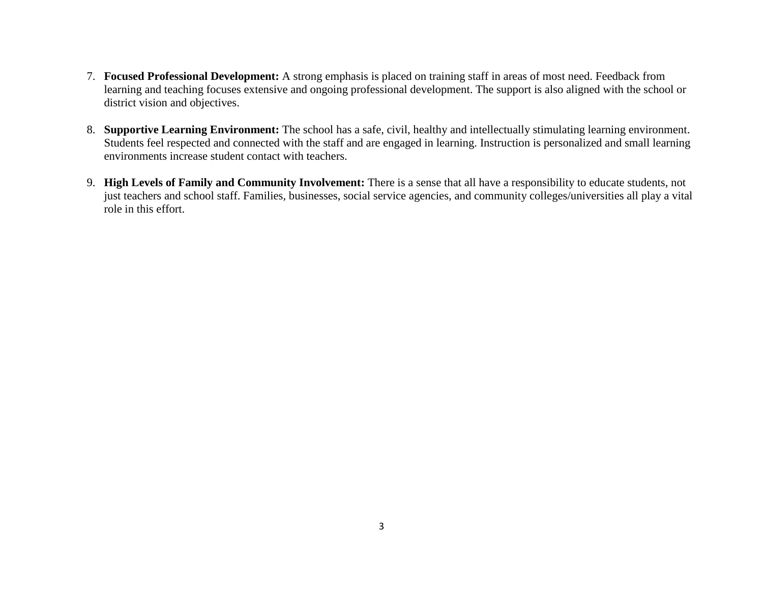- 7. **Focused Professional Development:** A strong emphasis is placed on training staff in areas of most need. Feedback from learning and teaching focuses extensive and ongoing professional development. The support is also aligned with the school or district vision and objectives.
- 8. **Supportive Learning Environment:** The school has a safe, civil, healthy and intellectually stimulating learning environment. Students feel respected and connected with the staff and are engaged in learning. Instruction is personalized and small learning environments increase student contact with teachers.
- 9. **High Levels of Family and Community Involvement:** There is a sense that all have a responsibility to educate students, not just teachers and school staff. Families, businesses, social service agencies, and community colleges/universities all play a vital role in this effort.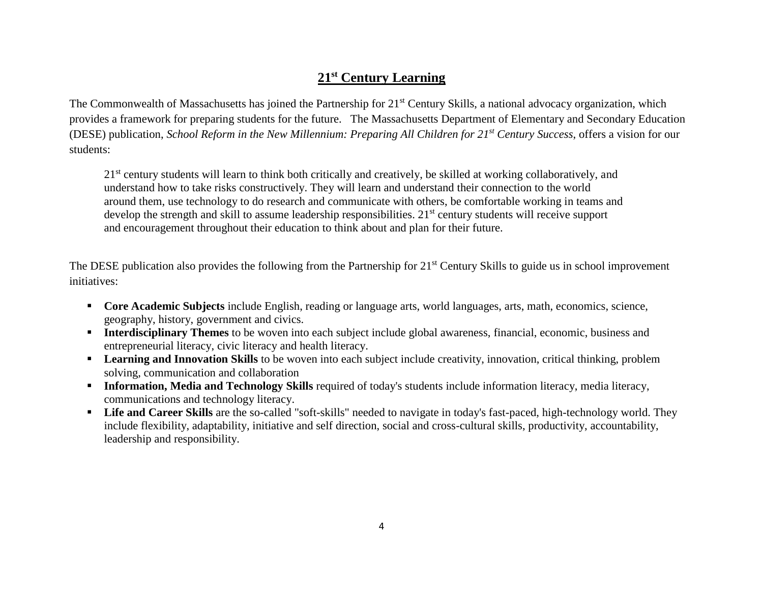# **21st Century Learning**

The Commonwealth of Massachusetts has joined the Partnership for 21<sup>st</sup> Century Skills, a national advocacy organization, which provides a framework for preparing students for the future. The Massachusetts Department of Elementary and Secondary Education (DESE) publication, *School Reform in the New Millennium: Preparing All Children for 21st Century Success*, offers a vision for our students:

21<sup>st</sup> century students will learn to think both critically and creatively, be skilled at working collaboratively, and understand how to take risks constructively. They will learn and understand their connection to the world around them, use technology to do research and communicate with others, be comfortable working in teams and develop the strength and skill to assume leadership responsibilities. 21<sup>st</sup> century students will receive support and encouragement throughout their education to think about and plan for their future.

The DESE publication also provides the following from the Partnership for 21<sup>st</sup> Century Skills to guide us in school improvement initiatives:

- **Core Academic Subjects** include English, reading or language arts, world languages, arts, math, economics, science, geography, history, government and civics.
- **Interdisciplinary Themes** to be woven into each subject include global awareness, financial, economic, business and entrepreneurial literacy, civic literacy and health literacy.
- **Learning and Innovation Skills** to be woven into each subject include creativity, innovation, critical thinking, problem solving, communication and collaboration
- **Information, Media and Technology Skills** required of today's students include information literacy, media literacy, communications and technology literacy.
- **Example 20 Figure 1** Life and Career Skills are the so-called "soft-skills" needed to navigate in today's fast-paced, high-technology world. They include flexibility, adaptability, initiative and self direction, social and cross-cultural skills, productivity, accountability, leadership and responsibility.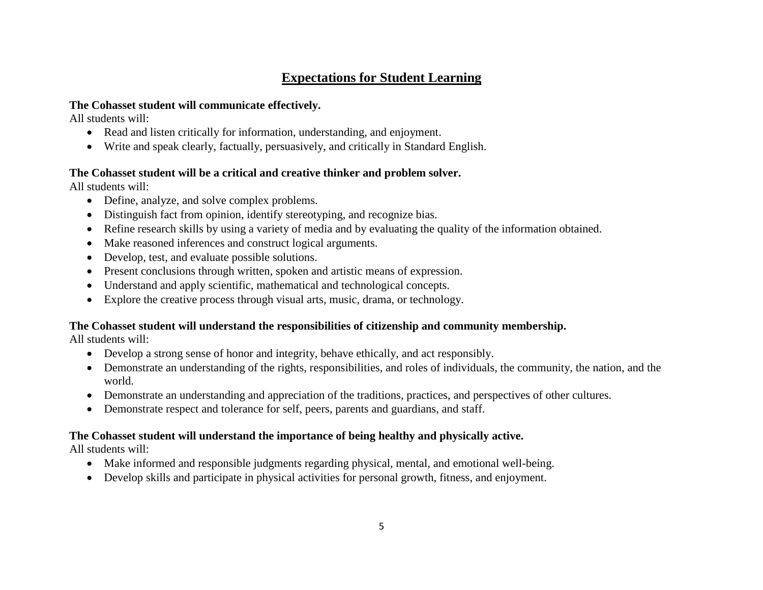# **Expectations for Student Learning**

#### **The Cohasset student will communicate effectively.**

All students will:

- Read and listen critically for information, understanding, and enjoyment.
- Write and speak clearly, factually, persuasively, and critically in Standard English.

#### **The Cohasset student will be a critical and creative thinker and problem solver.**

All students will:

- Define, analyze, and solve complex problems.
- Distinguish fact from opinion, identify stereotyping, and recognize bias.
- Refine research skills by using a variety of media and by evaluating the quality of the information obtained.
- Make reasoned inferences and construct logical arguments.
- Develop, test, and evaluate possible solutions.
- Present conclusions through written, spoken and artistic means of expression.
- Understand and apply scientific, mathematical and technological concepts.
- Explore the creative process through visual arts, music, drama, or technology.

# **The Cohasset student will understand the responsibilities of citizenship and community membership.**

All students will:

- Develop a strong sense of honor and integrity, behave ethically, and act responsibly.
- Demonstrate an understanding of the rights, responsibilities, and roles of individuals, the community, the nation, and the world.
- Demonstrate an understanding and appreciation of the traditions, practices, and perspectives of other cultures.
- Demonstrate respect and tolerance for self, peers, parents and guardians, and staff.

# **The Cohasset student will understand the importance of being healthy and physically active.**

All students will:

- Make informed and responsible judgments regarding physical, mental, and emotional well-being.
- Develop skills and participate in physical activities for personal growth, fitness, and enjoyment.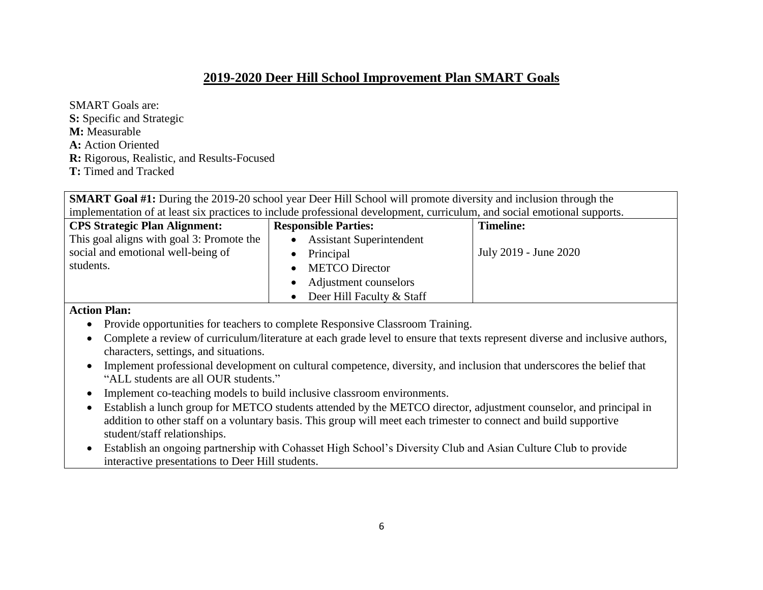## **2019-2020 Deer Hill School Improvement Plan SMART Goals**

SMART Goals are: **S:** Specific and Strategic **M:** Measurable **A:** Action Oriented **R:** Rigorous, Realistic, and Results-Focused **T:** Timed and Tracked

| <b>SMART Goal #1:</b> During the 2019-20 school year Deer Hill School will promote diversity and inclusion through the   |                                    |                       |  |
|--------------------------------------------------------------------------------------------------------------------------|------------------------------------|-----------------------|--|
| implementation of at least six practices to include professional development, curriculum, and social emotional supports. |                                    |                       |  |
| <b>CPS Strategic Plan Alignment:</b>                                                                                     | <b>Responsible Parties:</b>        | <b>Timeline:</b>      |  |
| This goal aligns with goal 3: Promote the                                                                                | <b>Assistant Superintendent</b>    |                       |  |
| social and emotional well-being of                                                                                       | $\bullet$ Principal                | July 2019 - June 2020 |  |
| students.                                                                                                                | <b>METCO</b> Director<br>$\bullet$ |                       |  |
|                                                                                                                          | Adjustment counselors              |                       |  |

• Deer Hill Faculty & Staff

#### **Action Plan:**

- Provide opportunities for teachers to complete Responsive Classroom Training.
- Complete a review of curriculum/literature at each grade level to ensure that texts represent diverse and inclusive authors, characters, settings, and situations.
- Implement professional development on cultural competence, diversity, and inclusion that underscores the belief that "ALL students are all OUR students."
- Implement co-teaching models to build inclusive classroom environments.
- Establish a lunch group for METCO students attended by the METCO director, adjustment counselor, and principal in addition to other staff on a voluntary basis. This group will meet each trimester to connect and build supportive student/staff relationships.
- Establish an ongoing partnership with Cohasset High School's Diversity Club and Asian Culture Club to provide interactive presentations to Deer Hill students.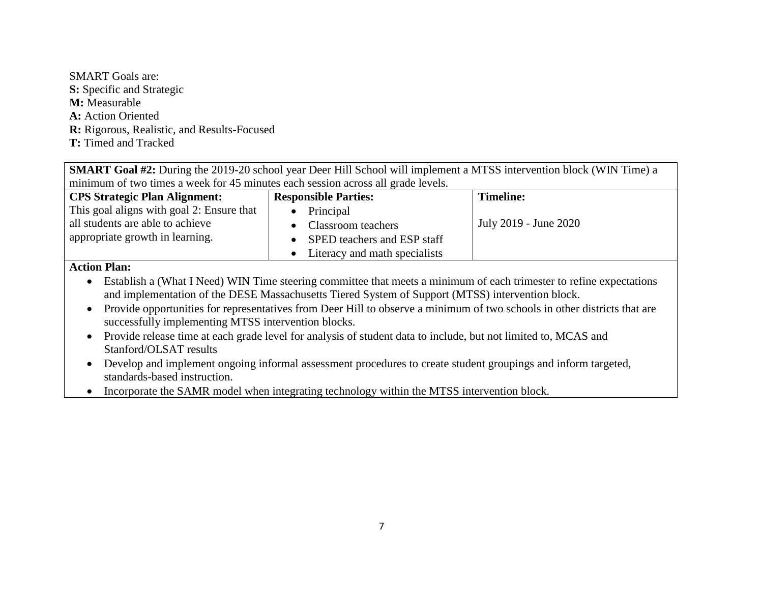SMART Goals are: **S:** Specific and Strategic **M:** Measurable **A:** Action Oriented **R:** Rigorous, Realistic, and Results-Focused **T:** Timed and Tracked

| <b>SMART Goal #2:</b> During the 2019-20 school year Deer Hill School will implement a MTSS intervention block (WIN Time) a<br>minimum of two times a week for 45 minutes each session across all grade levels. |                               |                       |  |  |
|-----------------------------------------------------------------------------------------------------------------------------------------------------------------------------------------------------------------|-------------------------------|-----------------------|--|--|
| <b>CPS Strategic Plan Alignment:</b>                                                                                                                                                                            | <b>Responsible Parties:</b>   | <b>Timeline:</b>      |  |  |
| This goal aligns with goal 2: Ensure that                                                                                                                                                                       | Principal                     |                       |  |  |
| all students are able to achieve                                                                                                                                                                                | Classroom teachers            | July 2019 - June 2020 |  |  |
| appropriate growth in learning.                                                                                                                                                                                 | SPED teachers and ESP staff   |                       |  |  |
|                                                                                                                                                                                                                 | Literacy and math specialists |                       |  |  |
| <b>Action Plan:</b>                                                                                                                                                                                             |                               |                       |  |  |
| Establish a (What I Need) WIN Time steering committee that meets a minimum of each trimester to refine expectations                                                                                             |                               |                       |  |  |
| and implementation of the DESE Massachusetts Tiered System of Support (MTSS) intervention block.                                                                                                                |                               |                       |  |  |
| Provide opportunities for representatives from Deer Hill to observe a minimum of two schools in other districts that are                                                                                        |                               |                       |  |  |
| successfully implementing MTSS intervention blocks.                                                                                                                                                             |                               |                       |  |  |
| Provide release time at each grade level for analysis of student data to include, but not limited to, MCAS and                                                                                                  |                               |                       |  |  |
| Stanford/OLSAT results                                                                                                                                                                                          |                               |                       |  |  |
| Develop and implement ongoing informal assessment procedures to create student groupings and inform targeted,                                                                                                   |                               |                       |  |  |
| standards-based instruction.                                                                                                                                                                                    |                               |                       |  |  |
| Incorporate the SAMR model when integrating technology within the MTSS intervention block.                                                                                                                      |                               |                       |  |  |